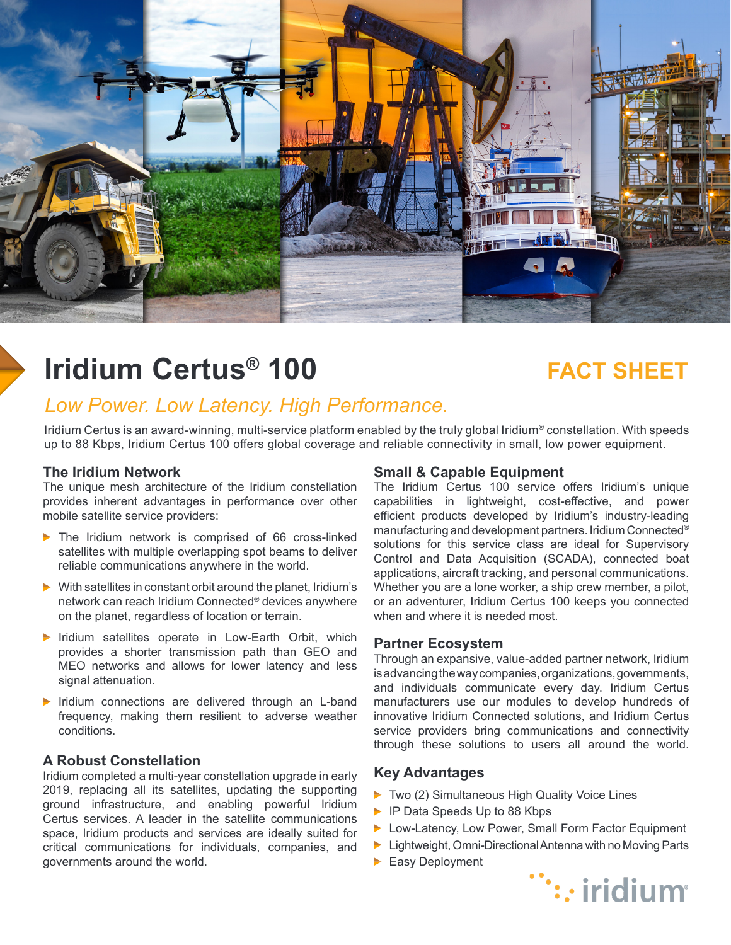

# **Iridium Certus<sup>®</sup> 100 <b>FACT SHEET**

## *Low Power. Low Latency. High Performance.*

Iridium Certus is an award-winning, multi-service platform enabled by the truly global Iridium<sup>®</sup> constellation. With speeds up to 88 Kbps, Iridium Certus 100 offers global coverage and reliable connectivity in small, low power equipment.

#### **The Iridium Network**

The unique mesh architecture of the Iridium constellation provides inherent advantages in performance over other mobile satellite service providers:

- The Iridium network is comprised of 66 cross-linked satellites with multiple overlapping spot beams to deliver reliable communications anywhere in the world.
- $\triangleright$  With satellites in constant orbit around the planet, Iridium's network can reach Iridium Connected® devices anywhere on the planet, regardless of location or terrain.
- $\triangleright$  Iridium satellites operate in Low-Earth Orbit, which provides a shorter transmission path than GEO and MEO networks and allows for lower latency and less signal attenuation.
- $\triangleright$  Iridium connections are delivered through an L-band frequency, making them resilient to adverse weather conditions.

#### **A Robust Constellation**

Iridium completed a multi-year constellation upgrade in early 2019, replacing all its satellites, updating the supporting ground infrastructure, and enabling powerful Iridium Certus services. A leader in the satellite communications space, Iridium products and services are ideally suited for critical communications for individuals, companies, and governments around the world.

#### **Small & Capable Equipment**

The Iridium Certus 100 service offers Iridium's unique capabilities in lightweight, cost-effective, and power efficient products developed by Iridium's industry-leading manufacturing and development partners. Iridium Connected® solutions for this service class are ideal for Supervisory Control and Data Acquisition (SCADA), connected boat applications, aircraft tracking, and personal communications. Whether you are a lone worker, a ship crew member, a pilot, or an adventurer, Iridium Certus 100 keeps you connected when and where it is needed most.

#### **Partner Ecosystem**

Through an expansive, value-added partner network, Iridium is advancing the way companies, organizations, governments, and individuals communicate every day. Iridium Certus manufacturers use our modules to develop hundreds of innovative Iridium Connected solutions, and Iridium Certus service providers bring communications and connectivity through these solutions to users all around the world.

#### **Key Advantages**

- Two (2) Simultaneous High Quality Voice Lines
- ▶ IP Data Speeds Up to 88 Kbps
- ▶ Low-Latency, Low Power, Small Form Factor Equipment
- **Lightweight, Omni-Directional Antenna with no Moving Parts**
- Easy Deployment